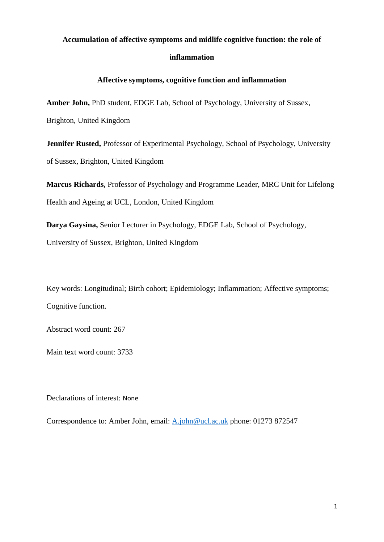# **Accumulation of affective symptoms and midlife cognitive function: the role of inflammation**

# **Affective symptoms, cognitive function and inflammation**

**Amber John,** PhD student, EDGE Lab, School of Psychology, University of Sussex, Brighton, United Kingdom

**Jennifer Rusted,** Professor of Experimental Psychology, School of Psychology, University of Sussex, Brighton, United Kingdom

**Marcus Richards,** Professor of Psychology and Programme Leader, MRC Unit for Lifelong Health and Ageing at UCL, London, United Kingdom

**Darya Gaysina,** Senior Lecturer in Psychology, EDGE Lab, School of Psychology,

University of Sussex, Brighton, United Kingdom

Key words: Longitudinal; Birth cohort; Epidemiology; Inflammation; Affective symptoms; Cognitive function.

Abstract word count: 267

Main text word count: 3733

Declarations of interest: None

Correspondence to: Amber John, email: [A.john@ucl.ac.uk](mailto:A.john@ucl.ac.uk) phone: 01273 872547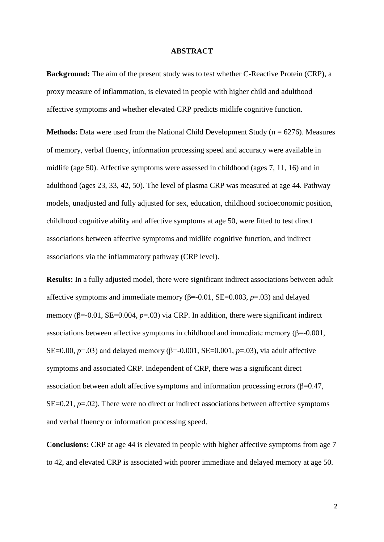#### **ABSTRACT**

**Background:** The aim of the present study was to test whether C-Reactive Protein (CRP), a proxy measure of inflammation, is elevated in people with higher child and adulthood affective symptoms and whether elevated CRP predicts midlife cognitive function.

**Methods:** Data were used from the National Child Development Study ( $n = 6276$ ). Measures of memory, verbal fluency, information processing speed and accuracy were available in midlife (age 50). Affective symptoms were assessed in childhood (ages 7, 11, 16) and in adulthood (ages 23, 33, 42, 50). The level of plasma CRP was measured at age 44. Pathway models, unadjusted and fully adjusted for sex, education, childhood socioeconomic position, childhood cognitive ability and affective symptoms at age 50, were fitted to test direct associations between affective symptoms and midlife cognitive function, and indirect associations via the inflammatory pathway (CRP level).

**Results:** In a fully adjusted model, there were significant indirect associations between adult affective symptoms and immediate memory  $(\beta = 0.01, SE = 0.003, p = .03)$  and delayed memory ( $\beta$ =-0.01, SE=0.004,  $p$ =.03) via CRP. In addition, there were significant indirect associations between affective symptoms in childhood and immediate memory (β=-0.001, SE=0.00,  $p=0.03$ ) and delayed memory ( $\beta$ =-0.001, SE=0.001,  $p=0.03$ ), via adult affective symptoms and associated CRP. Independent of CRP, there was a significant direct association between adult affective symptoms and information processing errors  $(\beta=0.47, \alpha$ SE=0.21, *p*=.02). There were no direct or indirect associations between affective symptoms and verbal fluency or information processing speed.

**Conclusions:** CRP at age 44 is elevated in people with higher affective symptoms from age 7 to 42, and elevated CRP is associated with poorer immediate and delayed memory at age 50.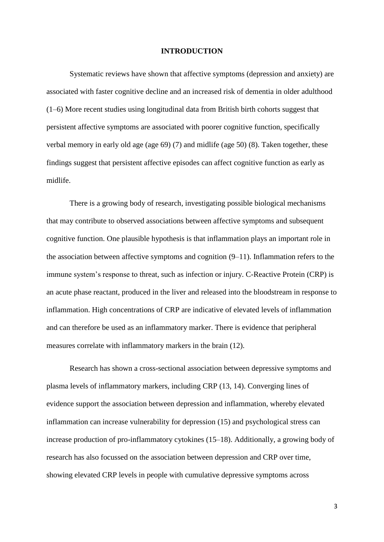#### **INTRODUCTION**

Systematic reviews have shown that affective symptoms (depression and anxiety) are associated with faster cognitive decline and an increased risk of dementia in older adulthood (1–6) More recent studies using longitudinal data from British birth cohorts suggest that persistent affective symptoms are associated with poorer cognitive function, specifically verbal memory in early old age (age 69) (7) and midlife (age 50) (8). Taken together, these findings suggest that persistent affective episodes can affect cognitive function as early as midlife.

There is a growing body of research, investigating possible biological mechanisms that may contribute to observed associations between affective symptoms and subsequent cognitive function. One plausible hypothesis is that inflammation plays an important role in the association between affective symptoms and cognition (9–11). Inflammation refers to the immune system's response to threat, such as infection or injury. C-Reactive Protein (CRP) is an acute phase reactant, produced in the liver and released into the bloodstream in response to inflammation. High concentrations of CRP are indicative of elevated levels of inflammation and can therefore be used as an inflammatory marker. There is evidence that peripheral measures correlate with inflammatory markers in the brain (12).

Research has shown a cross-sectional association between depressive symptoms and plasma levels of inflammatory markers, including CRP (13, 14). Converging lines of evidence support the association between depression and inflammation, whereby elevated inflammation can increase vulnerability for depression (15) and psychological stress can increase production of pro-inflammatory cytokines (15–18). Additionally, a growing body of research has also focussed on the association between depression and CRP over time, showing elevated CRP levels in people with cumulative depressive symptoms across

3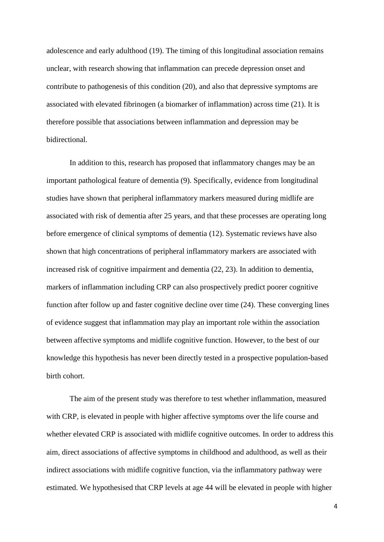adolescence and early adulthood (19). The timing of this longitudinal association remains unclear, with research showing that inflammation can precede depression onset and contribute to pathogenesis of this condition (20), and also that depressive symptoms are associated with elevated fibrinogen (a biomarker of inflammation) across time (21). It is therefore possible that associations between inflammation and depression may be bidirectional.

In addition to this, research has proposed that inflammatory changes may be an important pathological feature of dementia (9). Specifically, evidence from longitudinal studies have shown that peripheral inflammatory markers measured during midlife are associated with risk of dementia after 25 years, and that these processes are operating long before emergence of clinical symptoms of dementia (12). Systematic reviews have also shown that high concentrations of peripheral inflammatory markers are associated with increased risk of cognitive impairment and dementia (22, 23). In addition to dementia, markers of inflammation including CRP can also prospectively predict poorer cognitive function after follow up and faster cognitive decline over time (24). These converging lines of evidence suggest that inflammation may play an important role within the association between affective symptoms and midlife cognitive function. However, to the best of our knowledge this hypothesis has never been directly tested in a prospective population-based birth cohort.

The aim of the present study was therefore to test whether inflammation, measured with CRP, is elevated in people with higher affective symptoms over the life course and whether elevated CRP is associated with midlife cognitive outcomes. In order to address this aim, direct associations of affective symptoms in childhood and adulthood, as well as their indirect associations with midlife cognitive function, via the inflammatory pathway were estimated. We hypothesised that CRP levels at age 44 will be elevated in people with higher

4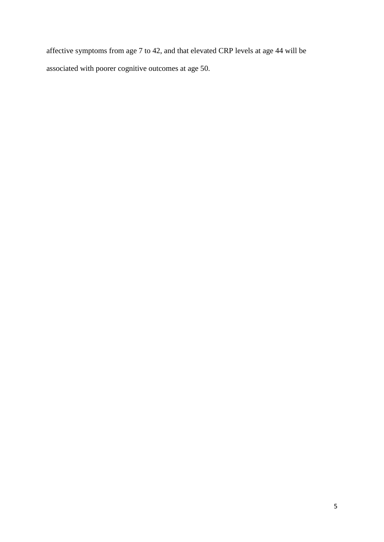affective symptoms from age 7 to 42, and that elevated CRP levels at age 44 will be associated with poorer cognitive outcomes at age 50.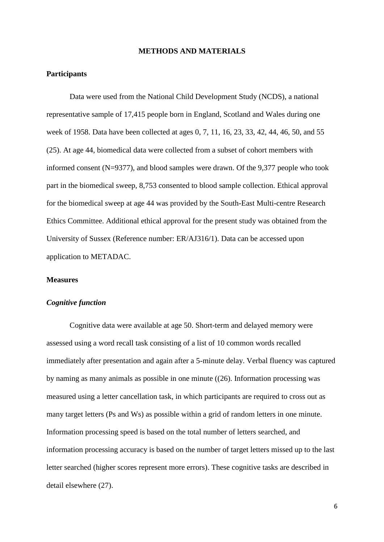#### **METHODS AND MATERIALS**

# **Participants**

Data were used from the National Child Development Study (NCDS), a national representative sample of 17,415 people born in England, Scotland and Wales during one week of 1958. Data have been collected at ages 0, 7, 11, 16, 23, 33, 42, 44, 46, 50, and 55 (25). At age 44, biomedical data were collected from a subset of cohort members with informed consent (N=9377), and blood samples were drawn. Of the 9,377 people who took part in the biomedical sweep, 8,753 consented to blood sample collection. Ethical approval for the biomedical sweep at age 44 was provided by the South-East Multi-centre Research Ethics Committee. Additional ethical approval for the present study was obtained from the University of Sussex (Reference number: ER/AJ316/1). Data can be accessed upon application to METADAC.

#### **Measures**

#### *Cognitive function*

Cognitive data were available at age 50. Short-term and delayed memory were assessed using a word recall task consisting of a list of 10 common words recalled immediately after presentation and again after a 5-minute delay. Verbal fluency was captured by naming as many animals as possible in one minute ((26). Information processing was measured using a letter cancellation task, in which participants are required to cross out as many target letters (Ps and Ws) as possible within a grid of random letters in one minute. Information processing speed is based on the total number of letters searched, and information processing accuracy is based on the number of target letters missed up to the last letter searched (higher scores represent more errors). These cognitive tasks are described in detail elsewhere (27).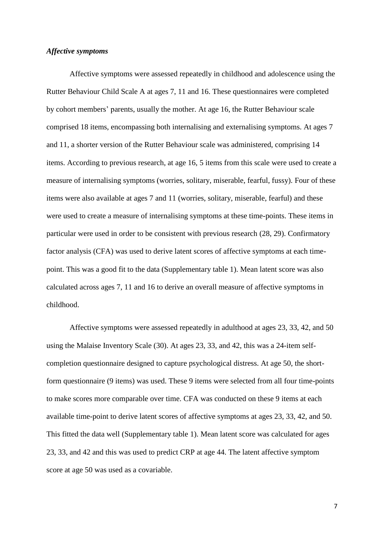# *Affective symptoms*

Affective symptoms were assessed repeatedly in childhood and adolescence using the Rutter Behaviour Child Scale A at ages 7, 11 and 16. These questionnaires were completed by cohort members' parents, usually the mother. At age 16, the Rutter Behaviour scale comprised 18 items, encompassing both internalising and externalising symptoms. At ages 7 and 11, a shorter version of the Rutter Behaviour scale was administered, comprising 14 items. According to previous research, at age 16, 5 items from this scale were used to create a measure of internalising symptoms (worries, solitary, miserable, fearful, fussy). Four of these items were also available at ages 7 and 11 (worries, solitary, miserable, fearful) and these were used to create a measure of internalising symptoms at these time-points. These items in particular were used in order to be consistent with previous research (28, 29). Confirmatory factor analysis (CFA) was used to derive latent scores of affective symptoms at each timepoint. This was a good fit to the data (Supplementary table 1). Mean latent score was also calculated across ages 7, 11 and 16 to derive an overall measure of affective symptoms in childhood.

Affective symptoms were assessed repeatedly in adulthood at ages 23, 33, 42, and 50 using the Malaise Inventory Scale (30). At ages 23, 33, and 42, this was a 24-item selfcompletion questionnaire designed to capture psychological distress. At age 50, the shortform questionnaire (9 items) was used. These 9 items were selected from all four time-points to make scores more comparable over time. CFA was conducted on these 9 items at each available time-point to derive latent scores of affective symptoms at ages 23, 33, 42, and 50. This fitted the data well (Supplementary table 1). Mean latent score was calculated for ages 23, 33, and 42 and this was used to predict CRP at age 44. The latent affective symptom score at age 50 was used as a covariable.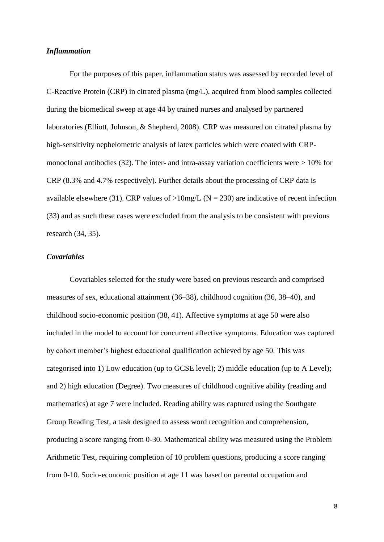# *Inflammation*

For the purposes of this paper, inflammation status was assessed by recorded level of C-Reactive Protein (CRP) in citrated plasma (mg/L), acquired from blood samples collected during the biomedical sweep at age 44 by trained nurses and analysed by partnered laboratories (Elliott, Johnson, & Shepherd, 2008). CRP was measured on citrated plasma by high-sensitivity nephelometric analysis of latex particles which were coated with CRPmonoclonal antibodies  $(32)$ . The inter- and intra-assay variation coefficients were  $> 10\%$  for CRP (8.3% and 4.7% respectively). Further details about the processing of CRP data is available elsewhere (31). CRP values of  $>10$ mg/L (N = 230) are indicative of recent infection (33) and as such these cases were excluded from the analysis to be consistent with previous research (34, 35).

# *Covariables*

Covariables selected for the study were based on previous research and comprised measures of sex, educational attainment (36–38), childhood cognition (36, 38–40), and childhood socio-economic position (38, 41). Affective symptoms at age 50 were also included in the model to account for concurrent affective symptoms. Education was captured by cohort member's highest educational qualification achieved by age 50. This was categorised into 1) Low education (up to GCSE level); 2) middle education (up to A Level); and 2) high education (Degree). Two measures of childhood cognitive ability (reading and mathematics) at age 7 were included. Reading ability was captured using the Southgate Group Reading Test, a task designed to assess word recognition and comprehension, producing a score ranging from 0-30. Mathematical ability was measured using the Problem Arithmetic Test, requiring completion of 10 problem questions, producing a score ranging from 0-10. Socio-economic position at age 11 was based on parental occupation and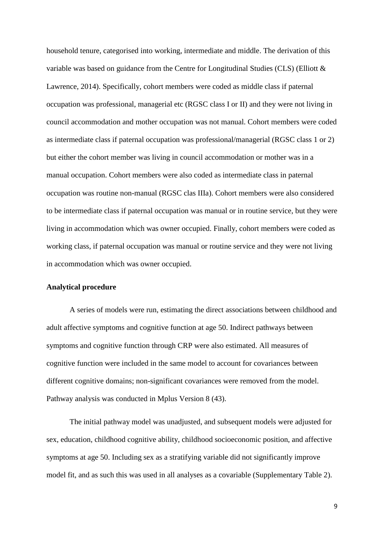household tenure, categorised into working, intermediate and middle. The derivation of this variable was based on guidance from the Centre for Longitudinal Studies (CLS) (Elliott & Lawrence, 2014). Specifically, cohort members were coded as middle class if paternal occupation was professional, managerial etc (RGSC class I or II) and they were not living in council accommodation and mother occupation was not manual. Cohort members were coded as intermediate class if paternal occupation was professional/managerial (RGSC class 1 or 2) but either the cohort member was living in council accommodation or mother was in a manual occupation. Cohort members were also coded as intermediate class in paternal occupation was routine non-manual (RGSC clas IIIa). Cohort members were also considered to be intermediate class if paternal occupation was manual or in routine service, but they were living in accommodation which was owner occupied. Finally, cohort members were coded as working class, if paternal occupation was manual or routine service and they were not living in accommodation which was owner occupied.

#### **Analytical procedure**

A series of models were run, estimating the direct associations between childhood and adult affective symptoms and cognitive function at age 50. Indirect pathways between symptoms and cognitive function through CRP were also estimated. All measures of cognitive function were included in the same model to account for covariances between different cognitive domains; non-significant covariances were removed from the model. Pathway analysis was conducted in Mplus Version 8 (43).

The initial pathway model was unadjusted, and subsequent models were adjusted for sex, education, childhood cognitive ability, childhood socioeconomic position, and affective symptoms at age 50. Including sex as a stratifying variable did not significantly improve model fit, and as such this was used in all analyses as a covariable (Supplementary Table 2).

9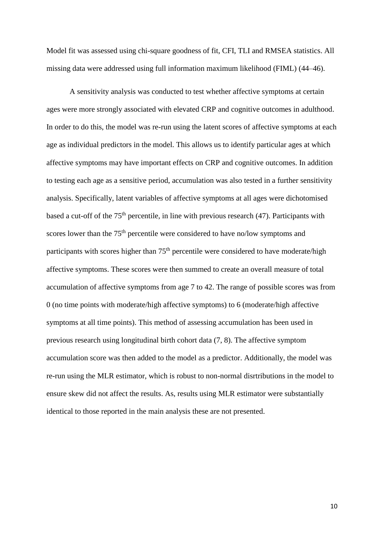Model fit was assessed using chi-square goodness of fit, CFI, TLI and RMSEA statistics. All missing data were addressed using full information maximum likelihood (FIML) (44–46).

A sensitivity analysis was conducted to test whether affective symptoms at certain ages were more strongly associated with elevated CRP and cognitive outcomes in adulthood. In order to do this, the model was re-run using the latent scores of affective symptoms at each age as individual predictors in the model. This allows us to identify particular ages at which affective symptoms may have important effects on CRP and cognitive outcomes. In addition to testing each age as a sensitive period, accumulation was also tested in a further sensitivity analysis. Specifically, latent variables of affective symptoms at all ages were dichotomised based a cut-off of the 75<sup>th</sup> percentile, in line with previous research (47). Participants with scores lower than the 75<sup>th</sup> percentile were considered to have no/low symptoms and participants with scores higher than 75<sup>th</sup> percentile were considered to have moderate/high affective symptoms. These scores were then summed to create an overall measure of total accumulation of affective symptoms from age 7 to 42. The range of possible scores was from 0 (no time points with moderate/high affective symptoms) to 6 (moderate/high affective symptoms at all time points). This method of assessing accumulation has been used in previous research using longitudinal birth cohort data (7, 8). The affective symptom accumulation score was then added to the model as a predictor. Additionally, the model was re-run using the MLR estimator, which is robust to non-normal disrtributions in the model to ensure skew did not affect the results. As, results using MLR estimator were substantially identical to those reported in the main analysis these are not presented.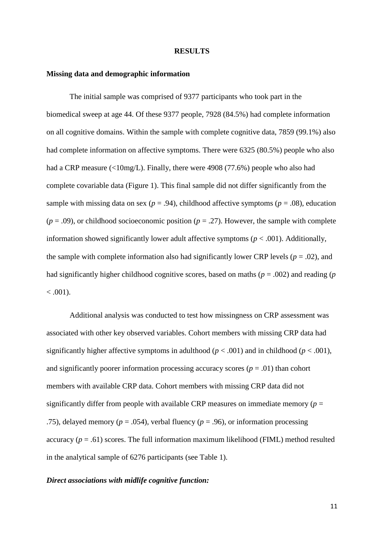#### **RESULTS**

# **Missing data and demographic information**

The initial sample was comprised of 9377 participants who took part in the biomedical sweep at age 44. Of these 9377 people, 7928 (84.5%) had complete information on all cognitive domains. Within the sample with complete cognitive data, 7859 (99.1%) also had complete information on affective symptoms. There were 6325 (80.5%) people who also had a CRP measure (<10mg/L). Finally, there were 4908 (77.6%) people who also had complete covariable data (Figure 1). This final sample did not differ significantly from the sample with missing data on sex ( $p = .94$ ), childhood affective symptoms ( $p = .08$ ), education  $(p = .09)$ , or childhood socioeconomic position  $(p = .27)$ . However, the sample with complete information showed significantly lower adult affective symptoms ( $p < .001$ ). Additionally, the sample with complete information also had significantly lower CRP levels ( $p = .02$ ), and had significantly higher childhood cognitive scores, based on maths (*p* = .002) and reading (*p*  $< .001$ ).

Additional analysis was conducted to test how missingness on CRP assessment was associated with other key observed variables. Cohort members with missing CRP data had significantly higher affective symptoms in adulthood ( $p < .001$ ) and in childhood ( $p < .001$ ), and significantly poorer information processing accuracy scores  $(p = .01)$  than cohort members with available CRP data. Cohort members with missing CRP data did not significantly differ from people with available CRP measures on immediate memory ( $p =$ .75), delayed memory ( $p = .054$ ), verbal fluency ( $p = .96$ ), or information processing accuracy  $(p = .61)$  scores. The full information maximum likelihood (FIML) method resulted in the analytical sample of 6276 participants (see Table 1).

#### *Direct associations with midlife cognitive function:*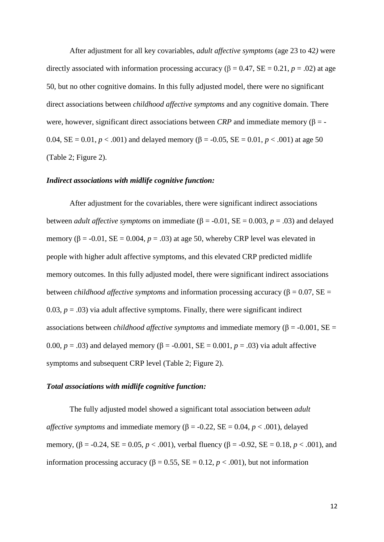After adjustment for all key covariables, *adult affective symptoms* (age 23 to 42*)* were directly associated with information processing accuracy ( $\beta = 0.47$ , SE = 0.21, *p* = .02) at age 50, but no other cognitive domains. In this fully adjusted model, there were no significant direct associations between *childhood affective symptoms* and any cognitive domain. There were, however, significant direct associations between *CRP* and immediate memory ( $\beta$  = -0.04,  $SE = 0.01$ ,  $p < .001$ ) and delayed memory ( $\beta = -0.05$ ,  $SE = 0.01$ ,  $p < .001$ ) at age 50 (Table 2; Figure 2).

# *Indirect associations with midlife cognitive function:*

After adjustment for the covariables, there were significant indirect associations between *adult affective symptoms* on immediate ( $\beta$  = -0.01, SE = 0.003, *p* = .03) and delayed memory ( $\beta$  = -0.01, SE = 0.004,  $p$  = .03) at age 50, whereby CRP level was elevated in people with higher adult affective symptoms, and this elevated CRP predicted midlife memory outcomes. In this fully adjusted model, there were significant indirect associations between *childhood affective symptoms* and information processing accuracy (β = 0.07, SE = 0.03,  $p = .03$ ) via adult affective symptoms. Finally, there were significant indirect associations between *childhood affective symptoms* and immediate memory ( $\beta$  = -0.001, SE = 0.00,  $p = .03$ ) and delayed memory ( $\beta = -0.001$ ,  $SE = 0.001$ ,  $p = .03$ ) via adult affective symptoms and subsequent CRP level (Table 2; Figure 2).

# *Total associations with midlife cognitive function:*

The fully adjusted model showed a significant total association between *adult affective symptoms* and immediate memory ( $\beta$  = -0.22, SE = 0.04, *p* < .001), delayed memory,  $(\beta = -0.24, SE = 0.05, p < .001)$ , verbal fluency  $(\beta = -0.92, SE = 0.18, p < .001)$ , and information processing accuracy ( $β = 0.55$ ,  $SE = 0.12$ ,  $p < .001$ ), but not information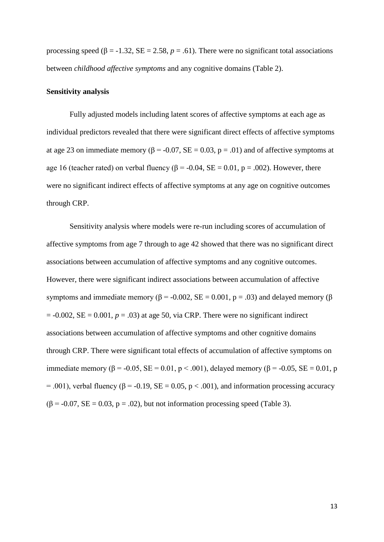processing speed ( $\beta$  = -1.32, SE = 2.58,  $p$  = .61). There were no significant total associations between *childhood affective symptoms* and any cognitive domains (Table 2).

# **Sensitivity analysis**

Fully adjusted models including latent scores of affective symptoms at each age as individual predictors revealed that there were significant direct effects of affective symptoms at age 23 on immediate memory ( $\beta$  = -0.07, SE = 0.03, p = .01) and of affective symptoms at age 16 (teacher rated) on verbal fluency ( $\beta$  = -0.04, SE = 0.01, p = .002). However, there were no significant indirect effects of affective symptoms at any age on cognitive outcomes through CRP.

Sensitivity analysis where models were re-run including scores of accumulation of affective symptoms from age 7 through to age 42 showed that there was no significant direct associations between accumulation of affective symptoms and any cognitive outcomes. However, there were significant indirect associations between accumulation of affective symptoms and immediate memory ( $β = -0.002$ ,  $SE = 0.001$ ,  $p = .03$ ) and delayed memory ( $β$  $= -0.002$ , SE  $= 0.001$ ,  $p = .03$ ) at age 50, via CRP. There were no significant indirect associations between accumulation of affective symptoms and other cognitive domains through CRP. There were significant total effects of accumulation of affective symptoms on immediate memory (β = -0.05, SE = 0.01, p < .001), delayed memory (β = -0.05, SE = 0.01, p  $= .001$ ), verbal fluency ( $\beta = -0.19$ ,  $SE = 0.05$ ,  $p < .001$ ), and information processing accuracy  $(\beta = -0.07, SE = 0.03, p = .02)$ , but not information processing speed (Table 3).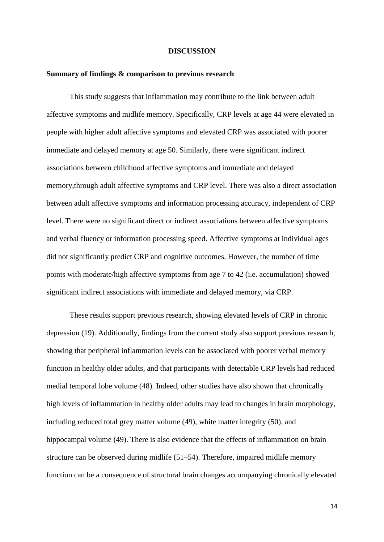#### **DISCUSSION**

# **Summary of findings & comparison to previous research**

This study suggests that inflammation may contribute to the link between adult affective symptoms and midlife memory. Specifically, CRP levels at age 44 were elevated in people with higher adult affective symptoms and elevated CRP was associated with poorer immediate and delayed memory at age 50. Similarly, there were significant indirect associations between childhood affective symptoms and immediate and delayed memory,through adult affective symptoms and CRP level. There was also a direct association between adult affective symptoms and information processing accuracy, independent of CRP level. There were no significant direct or indirect associations between affective symptoms and verbal fluency or information processing speed. Affective symptoms at individual ages did not significantly predict CRP and cognitive outcomes. However, the number of time points with moderate/high affective symptoms from age 7 to 42 (i.e. accumulation) showed significant indirect associations with immediate and delayed memory, via CRP.

These results support previous research, showing elevated levels of CRP in chronic depression (19). Additionally, findings from the current study also support previous research, showing that peripheral inflammation levels can be associated with poorer verbal memory function in healthy older adults, and that participants with detectable CRP levels had reduced medial temporal lobe volume (48). Indeed, other studies have also shown that chronically high levels of inflammation in healthy older adults may lead to changes in brain morphology, including reduced total grey matter volume (49), white matter integrity (50), and hippocampal volume (49). There is also evidence that the effects of inflammation on brain structure can be observed during midlife (51–54). Therefore, impaired midlife memory function can be a consequence of structural brain changes accompanying chronically elevated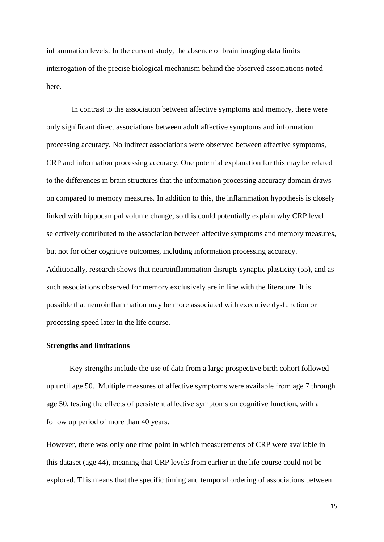inflammation levels. In the current study, the absence of brain imaging data limits interrogation of the precise biological mechanism behind the observed associations noted here.

In contrast to the association between affective symptoms and memory, there were only significant direct associations between adult affective symptoms and information processing accuracy. No indirect associations were observed between affective symptoms, CRP and information processing accuracy. One potential explanation for this may be related to the differences in brain structures that the information processing accuracy domain draws on compared to memory measures. In addition to this, the inflammation hypothesis is closely linked with hippocampal volume change, so this could potentially explain why CRP level selectively contributed to the association between affective symptoms and memory measures, but not for other cognitive outcomes, including information processing accuracy. Additionally, research shows that neuroinflammation disrupts synaptic plasticity (55), and as such associations observed for memory exclusively are in line with the literature. It is possible that neuroinflammation may be more associated with executive dysfunction or processing speed later in the life course.

# **Strengths and limitations**

Key strengths include the use of data from a large prospective birth cohort followed up until age 50. Multiple measures of affective symptoms were available from age 7 through age 50, testing the effects of persistent affective symptoms on cognitive function, with a follow up period of more than 40 years.

However, there was only one time point in which measurements of CRP were available in this dataset (age 44), meaning that CRP levels from earlier in the life course could not be explored. This means that the specific timing and temporal ordering of associations between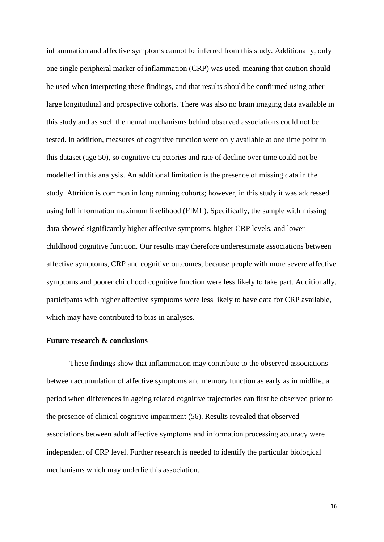inflammation and affective symptoms cannot be inferred from this study. Additionally, only one single peripheral marker of inflammation (CRP) was used, meaning that caution should be used when interpreting these findings, and that results should be confirmed using other large longitudinal and prospective cohorts. There was also no brain imaging data available in this study and as such the neural mechanisms behind observed associations could not be tested. In addition, measures of cognitive function were only available at one time point in this dataset (age 50), so cognitive trajectories and rate of decline over time could not be modelled in this analysis. An additional limitation is the presence of missing data in the study. Attrition is common in long running cohorts; however, in this study it was addressed using full information maximum likelihood (FIML). Specifically, the sample with missing data showed significantly higher affective symptoms, higher CRP levels, and lower childhood cognitive function. Our results may therefore underestimate associations between affective symptoms, CRP and cognitive outcomes, because people with more severe affective symptoms and poorer childhood cognitive function were less likely to take part. Additionally, participants with higher affective symptoms were less likely to have data for CRP available, which may have contributed to bias in analyses.

# **Future research & conclusions**

These findings show that inflammation may contribute to the observed associations between accumulation of affective symptoms and memory function as early as in midlife, a period when differences in ageing related cognitive trajectories can first be observed prior to the presence of clinical cognitive impairment (56). Results revealed that observed associations between adult affective symptoms and information processing accuracy were independent of CRP level. Further research is needed to identify the particular biological mechanisms which may underlie this association.

16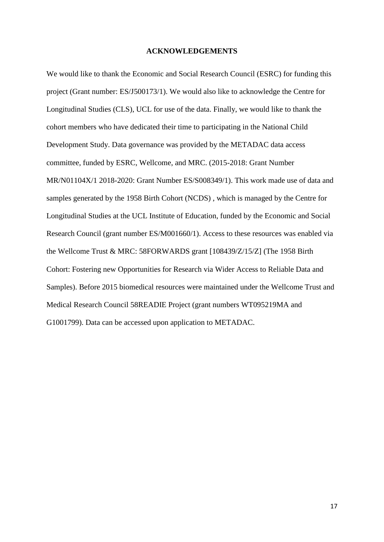#### **ACKNOWLEDGEMENTS**

We would like to thank the Economic and Social Research Council (ESRC) for funding this project (Grant number: ES/J500173/1). We would also like to acknowledge the Centre for Longitudinal Studies (CLS), UCL for use of the data. Finally, we would like to thank the cohort members who have dedicated their time to participating in the National Child Development Study. Data governance was provided by the METADAC data access committee, funded by ESRC, Wellcome, and MRC. (2015-2018: Grant Number MR/N01104X/1 2018-2020: Grant Number ES/S008349/1). This work made use of data and samples generated by the 1958 Birth Cohort (NCDS) , which is managed by the Centre for Longitudinal Studies at the UCL Institute of Education, funded by the Economic and Social Research Council (grant number ES/M001660/1). Access to these resources was enabled via the Wellcome Trust & MRC: 58FORWARDS grant [108439/Z/15/Z] (The 1958 Birth Cohort: Fostering new Opportunities for Research via Wider Access to Reliable Data and Samples). Before 2015 biomedical resources were maintained under the Wellcome Trust and Medical Research Council 58READIE Project (grant numbers WT095219MA and G1001799). Data can be accessed upon application to METADAC.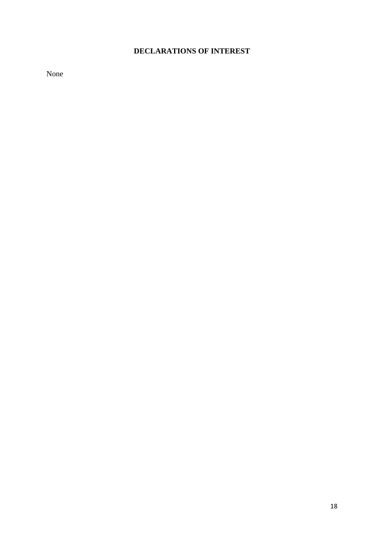# **DECLARATIONS OF INTEREST**

None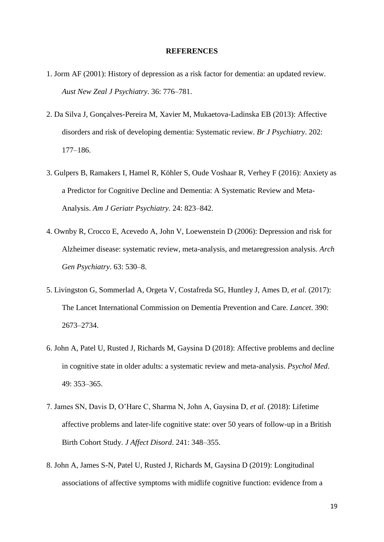#### **REFERENCES**

- 1. Jorm AF (2001): History of depression as a risk factor for dementia: an updated review. *Aust New Zeal J Psychiatry*. 36: 776–781.
- 2. Da Silva J, Gonçalves-Pereira M, Xavier M, Mukaetova-Ladinska EB (2013): Affective disorders and risk of developing dementia: Systematic review. *Br J Psychiatry*. 202: 177–186.
- 3. Gulpers B, Ramakers I, Hamel R, Köhler S, Oude Voshaar R, Verhey F (2016): Anxiety as a Predictor for Cognitive Decline and Dementia: A Systematic Review and Meta-Analysis. *Am J Geriatr Psychiatry*. 24: 823–842.
- 4. Ownby R, Crocco E, Acevedo A, John V, Loewenstein D (2006): Depression and risk for Alzheimer disease: systematic review, meta-analysis, and metaregression analysis. *Arch Gen Psychiatry*. 63: 530–8.
- 5. Livingston G, Sommerlad A, Orgeta V, Costafreda SG, Huntley J, Ames D, *et al.* (2017): The Lancet International Commission on Dementia Prevention and Care. *Lancet*. 390: 2673–2734.
- 6. John A, Patel U, Rusted J, Richards M, Gaysina D (2018): Affective problems and decline in cognitive state in older adults: a systematic review and meta-analysis. *Psychol Med*. 49: 353–365.
- 7. James SN, Davis D, O'Hare C, Sharma N, John A, Gaysina D, *et al.* (2018): Lifetime affective problems and later-life cognitive state: over 50 years of follow-up in a British Birth Cohort Study. *J Affect Disord*. 241: 348–355.
- 8. John A, James S-N, Patel U, Rusted J, Richards M, Gaysina D (2019): Longitudinal associations of affective symptoms with midlife cognitive function: evidence from a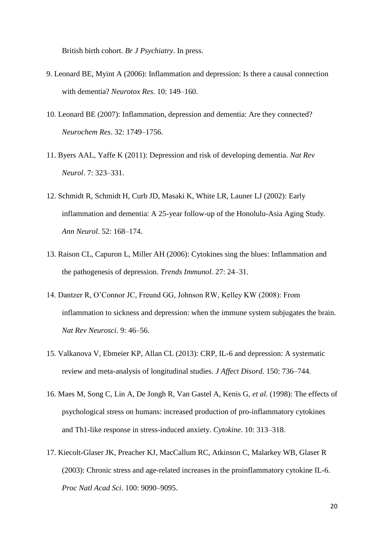British birth cohort. *Br J Psychiatry*. In press.

- 9. Leonard BE, Myint A (2006): Inflammation and depression: Is there a causal connection with dementia? *Neurotox Res*. 10: 149–160.
- 10. Leonard BE (2007): Inflammation, depression and dementia: Are they connected? *Neurochem Res*. 32: 1749–1756.
- 11. Byers AAL, Yaffe K (2011): Depression and risk of developing dementia. *Nat Rev Neurol*. 7: 323–331.
- 12. Schmidt R, Schmidt H, Curb JD, Masaki K, White LR, Launer LJ (2002): Early inflammation and dementia: A 25-year follow-up of the Honolulu-Asia Aging Study. *Ann Neurol*. 52: 168–174.
- 13. Raison CL, Capuron L, Miller AH (2006): Cytokines sing the blues: Inflammation and the pathogenesis of depression. *Trends Immunol*. 27: 24–31.
- 14. Dantzer R, O'Connor JC, Freund GG, Johnson RW, Kelley KW (2008): From inflammation to sickness and depression: when the immune system subjugates the brain. *Nat Rev Neurosci*. 9: 46–56.
- 15. Valkanova V, Ebmeier KP, Allan CL (2013): CRP, IL-6 and depression: A systematic review and meta-analysis of longitudinal studies. *J Affect Disord*. 150: 736–744.
- 16. Maes M, Song C, Lin A, De Jongh R, Van Gastel A, Kenis G, *et al.* (1998): The effects of psychological stress on humans: increased production of pro-inflammatory cytokines and Th1-like response in stress-induced anxiety. *Cytokine*. 10: 313–318.
- 17. Kiecolt-Glaser JK, Preacher KJ, MacCallum RC, Atkinson C, Malarkey WB, Glaser R (2003): Chronic stress and age-related increases in the proinflammatory cytokine IL-6. *Proc Natl Acad Sci*. 100: 9090–9095.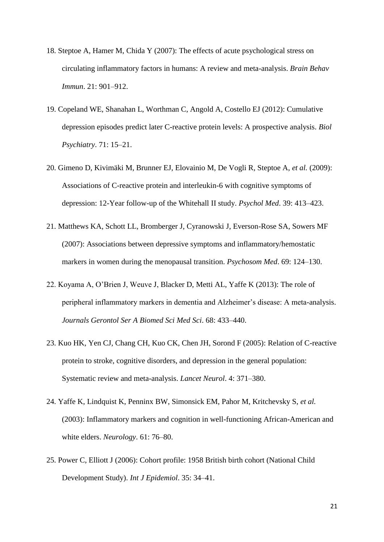- 18. Steptoe A, Hamer M, Chida Y (2007): The effects of acute psychological stress on circulating inflammatory factors in humans: A review and meta-analysis. *Brain Behav Immun*. 21: 901–912.
- 19. Copeland WE, Shanahan L, Worthman C, Angold A, Costello EJ (2012): Cumulative depression episodes predict later C-reactive protein levels: A prospective analysis. *Biol Psychiatry*. 71: 15–21.
- 20. Gimeno D, Kivimäki M, Brunner EJ, Elovainio M, De Vogli R, Steptoe A, *et al.* (2009): Associations of C-reactive protein and interleukin-6 with cognitive symptoms of depression: 12-Year follow-up of the Whitehall II study. *Psychol Med*. 39: 413–423.
- 21. Matthews KA, Schott LL, Bromberger J, Cyranowski J, Everson-Rose SA, Sowers MF (2007): Associations between depressive symptoms and inflammatory/hemostatic markers in women during the menopausal transition. *Psychosom Med*. 69: 124–130.
- 22. Koyama A, O'Brien J, Weuve J, Blacker D, Metti AL, Yaffe K (2013): The role of peripheral inflammatory markers in dementia and Alzheimer's disease: A meta-analysis. *Journals Gerontol Ser A Biomed Sci Med Sci*. 68: 433–440.
- 23. Kuo HK, Yen CJ, Chang CH, Kuo CK, Chen JH, Sorond F (2005): Relation of C-reactive protein to stroke, cognitive disorders, and depression in the general population: Systematic review and meta-analysis. *Lancet Neurol*. 4: 371–380.
- 24. Yaffe K, Lindquist K, Penninx BW, Simonsick EM, Pahor M, Kritchevsky S, *et al.* (2003): Inflammatory markers and cognition in well-functioning African-American and white elders. *Neurology*. 61: 76–80.
- 25. Power C, Elliott J (2006): Cohort profile: 1958 British birth cohort (National Child Development Study). *Int J Epidemiol*. 35: 34–41.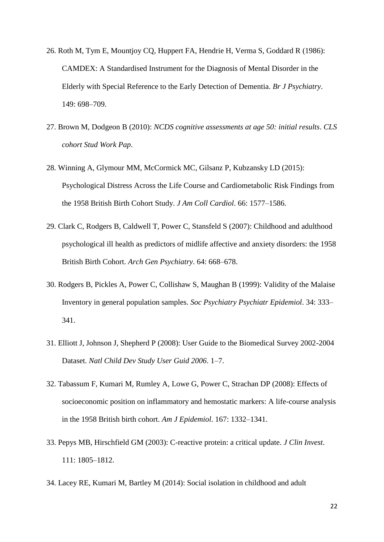- 26. Roth M, Tym E, Mountjoy CQ, Huppert FA, Hendrie H, Verma S, Goddard R (1986): CAMDEX: A Standardised Instrument for the Diagnosis of Mental Disorder in the Elderly with Special Reference to the Early Detection of Dementia. *Br J Psychiatry*. 149: 698–709.
- 27. Brown M, Dodgeon B (2010): *NCDS cognitive assessments at age 50: initial results*. *CLS cohort Stud Work Pap*.
- 28. Winning A, Glymour MM, McCormick MC, Gilsanz P, Kubzansky LD (2015): Psychological Distress Across the Life Course and Cardiometabolic Risk Findings from the 1958 British Birth Cohort Study. *J Am Coll Cardiol*. 66: 1577–1586.
- 29. Clark C, Rodgers B, Caldwell T, Power C, Stansfeld S (2007): Childhood and adulthood psychological ill health as predictors of midlife affective and anxiety disorders: the 1958 British Birth Cohort. *Arch Gen Psychiatry*. 64: 668–678.
- 30. Rodgers B, Pickles A, Power C, Collishaw S, Maughan B (1999): Validity of the Malaise Inventory in general population samples. *Soc Psychiatry Psychiatr Epidemiol*. 34: 333– 341.
- 31. Elliott J, Johnson J, Shepherd P (2008): User Guide to the Biomedical Survey 2002-2004 Dataset. *Natl Child Dev Study User Guid 2006*. 1–7.
- 32. Tabassum F, Kumari M, Rumley A, Lowe G, Power C, Strachan DP (2008): Effects of socioeconomic position on inflammatory and hemostatic markers: A life-course analysis in the 1958 British birth cohort. *Am J Epidemiol*. 167: 1332–1341.
- 33. Pepys MB, Hirschfield GM (2003): C-reactive protein: a critical update. *J Clin Invest*. 111: 1805–1812.
- 34. Lacey RE, Kumari M, Bartley M (2014): Social isolation in childhood and adult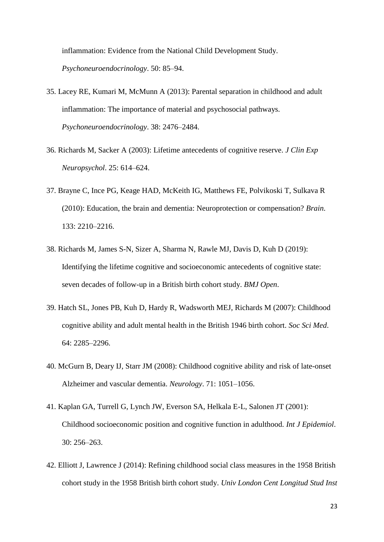inflammation: Evidence from the National Child Development Study. *Psychoneuroendocrinology*. 50: 85–94.

- 35. Lacey RE, Kumari M, McMunn A (2013): Parental separation in childhood and adult inflammation: The importance of material and psychosocial pathways. *Psychoneuroendocrinology*. 38: 2476–2484.
- 36. Richards M, Sacker A (2003): Lifetime antecedents of cognitive reserve. *J Clin Exp Neuropsychol*. 25: 614–624.
- 37. Brayne C, Ince PG, Keage HAD, McKeith IG, Matthews FE, Polvikoski T, Sulkava R (2010): Education, the brain and dementia: Neuroprotection or compensation? *Brain*. 133: 2210–2216.
- 38. Richards M, James S-N, Sizer A, Sharma N, Rawle MJ, Davis D, Kuh D (2019): Identifying the lifetime cognitive and socioeconomic antecedents of cognitive state: seven decades of follow-up in a British birth cohort study. *BMJ Open*.
- 39. Hatch SL, Jones PB, Kuh D, Hardy R, Wadsworth MEJ, Richards M (2007): Childhood cognitive ability and adult mental health in the British 1946 birth cohort. *Soc Sci Med*. 64: 2285–2296.
- 40. McGurn B, Deary IJ, Starr JM (2008): Childhood cognitive ability and risk of late-onset Alzheimer and vascular dementia. *Neurology*. 71: 1051–1056.
- 41. Kaplan GA, Turrell G, Lynch JW, Everson SA, Helkala E-L, Salonen JT (2001): Childhood socioeconomic position and cognitive function in adulthood. *Int J Epidemiol*. 30: 256–263.
- 42. Elliott J, Lawrence J (2014): Refining childhood social class measures in the 1958 British cohort study in the 1958 British birth cohort study. *Univ London Cent Longitud Stud Inst*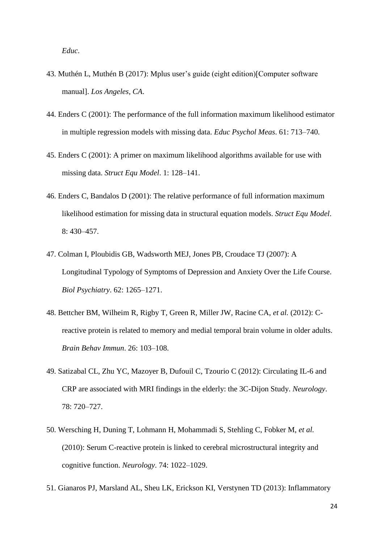*Educ*.

- 43. Muthén L, Muthén B (2017): Mplus user's guide (eight edition)[Computer software manual]. *Los Angeles, CA*.
- 44. Enders C (2001): The performance of the full information maximum likelihood estimator in multiple regression models with missing data. *Educ Psychol Meas*. 61: 713–740.
- 45. Enders C (2001): A primer on maximum likelihood algorithms available for use with missing data. *Struct Equ Model*. 1: 128–141.
- 46. Enders C, Bandalos D (2001): The relative performance of full information maximum likelihood estimation for missing data in structural equation models. *Struct Equ Model*. 8: 430–457.
- 47. Colman I, Ploubidis GB, Wadsworth MEJ, Jones PB, Croudace TJ (2007): A Longitudinal Typology of Symptoms of Depression and Anxiety Over the Life Course. *Biol Psychiatry*. 62: 1265–1271.
- 48. Bettcher BM, Wilheim R, Rigby T, Green R, Miller JW, Racine CA, *et al.* (2012): Creactive protein is related to memory and medial temporal brain volume in older adults. *Brain Behav Immun*. 26: 103–108.
- 49. Satizabal CL, Zhu YC, Mazoyer B, Dufouil C, Tzourio C (2012): Circulating IL-6 and CRP are associated with MRI findings in the elderly: the 3C-Dijon Study. *Neurology*. 78: 720–727.
- 50. Wersching H, Duning T, Lohmann H, Mohammadi S, Stehling C, Fobker M, *et al.* (2010): Serum C-reactive protein is linked to cerebral microstructural integrity and cognitive function. *Neurology*. 74: 1022–1029.
- 51. Gianaros PJ, Marsland AL, Sheu LK, Erickson KI, Verstynen TD (2013): Inflammatory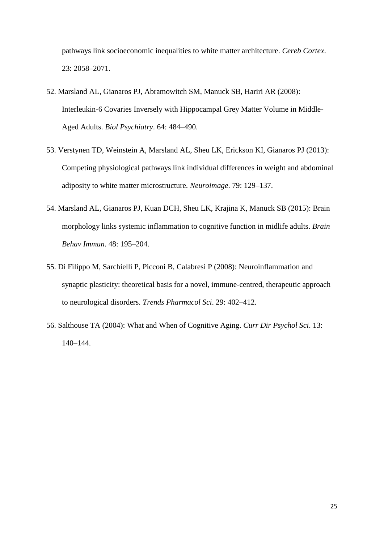pathways link socioeconomic inequalities to white matter architecture. *Cereb Cortex*. 23: 2058–2071.

- 52. Marsland AL, Gianaros PJ, Abramowitch SM, Manuck SB, Hariri AR (2008): Interleukin-6 Covaries Inversely with Hippocampal Grey Matter Volume in Middle-Aged Adults. *Biol Psychiatry*. 64: 484–490.
- 53. Verstynen TD, Weinstein A, Marsland AL, Sheu LK, Erickson KI, Gianaros PJ (2013): Competing physiological pathways link individual differences in weight and abdominal adiposity to white matter microstructure. *Neuroimage*. 79: 129–137.
- 54. Marsland AL, Gianaros PJ, Kuan DCH, Sheu LK, Krajina K, Manuck SB (2015): Brain morphology links systemic inflammation to cognitive function in midlife adults. *Brain Behav Immun*. 48: 195–204.
- 55. Di Filippo M, Sarchielli P, Picconi B, Calabresi P (2008): Neuroinflammation and synaptic plasticity: theoretical basis for a novel, immune-centred, therapeutic approach to neurological disorders. *Trends Pharmacol Sci*. 29: 402–412.
- 56. Salthouse TA (2004): What and When of Cognitive Aging. *Curr Dir Psychol Sci*. 13: 140–144.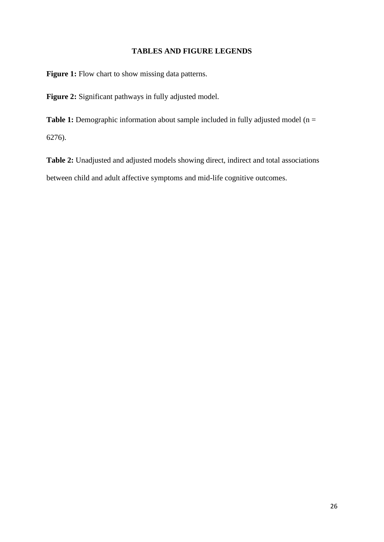# **TABLES AND FIGURE LEGENDS**

Figure 1: Flow chart to show missing data patterns.

**Figure 2:** Significant pathways in fully adjusted model.

**Table 1:** Demographic information about sample included in fully adjusted model (n = 6276).

**Table 2:** Unadjusted and adjusted models showing direct, indirect and total associations between child and adult affective symptoms and mid-life cognitive outcomes.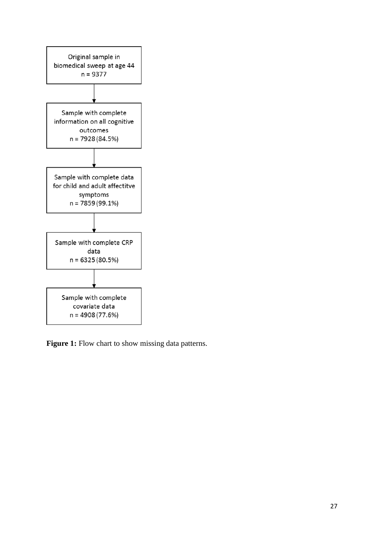

Figure 1: Flow chart to show missing data patterns.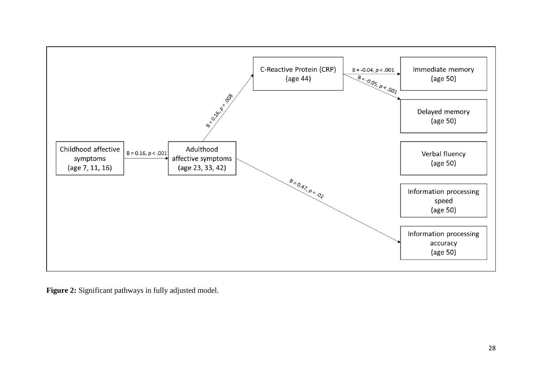

**Figure 2:** Significant pathways in fully adjusted model.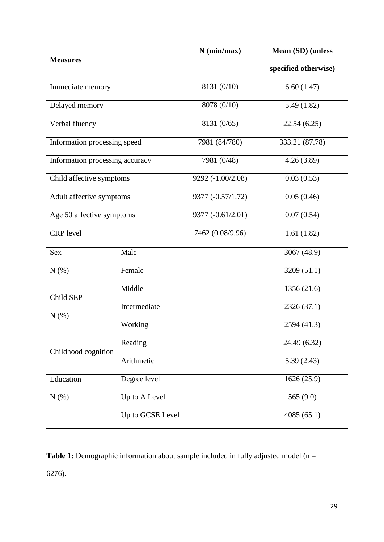| <b>Measures</b>                 |                  | $N$ (min/max)     | Mean (SD) (unless    |  |  |
|---------------------------------|------------------|-------------------|----------------------|--|--|
|                                 |                  |                   | specified otherwise) |  |  |
| Immediate memory                |                  | 8131 (0/10)       | 6.60(1.47)           |  |  |
| Delayed memory                  |                  | 8078 (0/10)       | 5.49(1.82)           |  |  |
| Verbal fluency                  |                  | 8131 (0/65)       | 22.54(6.25)          |  |  |
| Information processing speed    |                  | 7981 (84/780)     | 333.21 (87.78)       |  |  |
| Information processing accuracy |                  | 7981 (0/48)       | 4.26(3.89)           |  |  |
| Child affective symptoms        |                  | 9292 (-1.00/2.08) | 0.03(0.53)           |  |  |
| Adult affective symptoms        |                  | 9377 (-0.57/1.72) | 0.05(0.46)           |  |  |
| Age 50 affective symptoms       |                  | 9377 (-0.61/2.01) | 0.07(0.54)           |  |  |
| <b>CRP</b> level                |                  | 7462 (0.08/9.96)  | 1.61(1.82)           |  |  |
| <b>Sex</b>                      | Male             |                   | 3067 (48.9)          |  |  |
| N(%)                            | Female           |                   | 3209 (51.1)          |  |  |
| Child SEP                       | Middle           |                   | 1356 (21.6)          |  |  |
|                                 | Intermediate     |                   | 2326 (37.1)          |  |  |
| $N(\%)$                         | Working          |                   | 2594 (41.3)          |  |  |
|                                 | Reading          |                   | 24.49 (6.32)         |  |  |
| Childhood cognition             | Arithmetic       |                   | 5.39(2.43)           |  |  |
| Education                       | Degree level     |                   | 1626 (25.9)          |  |  |
| N(%)                            | Up to A Level    |                   | 565 $(9.0)$          |  |  |
|                                 | Up to GCSE Level |                   | 4085(65.1)           |  |  |

**Table 1:** Demographic information about sample included in fully adjusted model (n = 6276).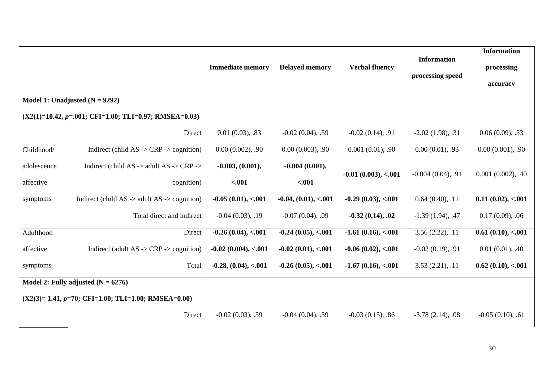|                                                      |                                                                           | <b>Immediate memory</b>  | <b>Delayed memory</b>   | <b>Verbal fluency</b>        | <b>Information</b><br>processing speed | <b>Information</b><br>processing |
|------------------------------------------------------|---------------------------------------------------------------------------|--------------------------|-------------------------|------------------------------|----------------------------------------|----------------------------------|
|                                                      |                                                                           |                          |                         |                              |                                        | accuracy                         |
|                                                      | Model 1: Unadjusted $(N = 9292)$                                          |                          |                         |                              |                                        |                                  |
|                                                      | $(X2(1)=10.42, p=.001; CFI=1.00; TLI=0.97; RMSEA=0.03)$                   |                          |                         |                              |                                        |                                  |
|                                                      | Direct                                                                    | $0.01(0.03)$ , .83       | $-0.02$ $(0.04)$ , .59  | $-0.02(0.14), .91$           | $-2.02$ (1.98), .31                    | 0.06(0.09), .53                  |
| Childhood/                                           | Indirect (child $AS \rightarrow CRP \rightarrow$ cognition)               | $0.00(0.002)$ , .90      | 0.00(0.003), .90        | 0.001(0.01), .90             | 0.00(0.01), .93                        | 0.00(0.001), .90                 |
| adolescence                                          | Indirect (child AS $\rightarrow$ adult AS $\rightarrow$ CRP $\rightarrow$ | $-0.003, (0.001),$       | $-0.004(0.001),$        | $-0.01$ $(0.003)$ , $< 0.01$ | $-0.004(0.04)$ , .91                   | $0.001(0.002)$ , .40             |
| affective                                            | cognition)                                                                | $-.001$                  | $-.001$                 |                              |                                        |                                  |
| symptoms                                             | Indirect (child $AS \rightarrow$ adult $AS \rightarrow$ cognition)        | $-0.05(0.01), < 0.01$    | $-0.04, (0.01), < 0.01$ | $-0.29(0.03), < 0.01$        | 0.64(0.40), .11                        | 0.11(0.02), < 0.01               |
|                                                      | Total direct and indirect                                                 | $-0.04(0.03), .19$       | $-0.07(0.04)$ , 0.9     | $-0.32(0.14), .02$           | $-1.39(1.94)$ , .47                    | $0.17(0.09)$ , 06                |
| Adulthood                                            | Direct                                                                    | $-0.26(0.04)$ , < $0.01$ | $-0.24(0.05), < 0.01$   | $-1.61(0.16), < 0.01$        | 3.56(2.22), .11                        | 0.61(0.10), < 0.01               |
| affective                                            | Indirect (adult $AS \rightarrow CRP \rightarrow$ cognition)               | $-0.02$ (0.004), <.001   | $-0.02(0.01), < 0.01$   | $-0.06(0.02), < 0.01$        | $-0.02(0.19), .91$                     | 0.01(0.01), .40                  |
| symptoms                                             | Total                                                                     | $-0.28, (0.04), < 0.01$  | $-0.26(0.05), < 0.01$   | $-1.67(0.16), < 0.01$        | 3.53(2.21), .11                        | 0.62(0.10), < 0.01               |
| Model 2: Fully adjusted $(N = 6276)$                 |                                                                           |                          |                         |                              |                                        |                                  |
| $(X2(3)=1.41, p=70; CFI=1.00; TLI=1.00; RMSEA=0.00)$ |                                                                           |                          |                         |                              |                                        |                                  |
|                                                      | Direct                                                                    | $-0.02(0.03)$ , .59      | $-0.04(0.04)$ , .39     | $-0.03(0.15)$ , .86          | $-3.78(2.14)$ , 08                     | $-0.05(0.10), .61$               |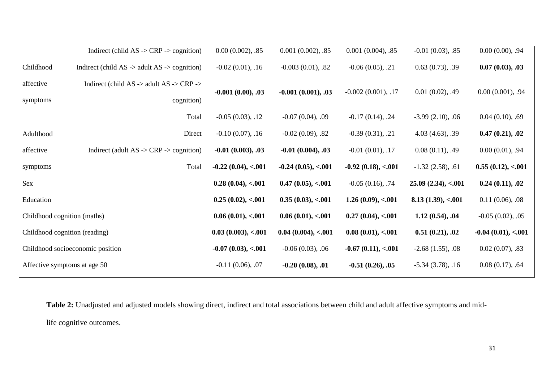|                                  | Indirect (child $AS \rightarrow CRP \rightarrow$ cognition)               | $0.00(0.002)$ , .85   | $0.001(0.002)$ , .85  | $0.001(0.004)$ , .85  | $-0.01(0.03)$ , .85 | $0.00(0.00)$ , .94    |
|----------------------------------|---------------------------------------------------------------------------|-----------------------|-----------------------|-----------------------|---------------------|-----------------------|
| Childhood                        | Indirect (child $AS \rightarrow$ adult $AS \rightarrow$ cognition)        | $-0.02(0.01), .16$    | $-0.003(0.01), .82$   | $-0.06(0.05), .21$    | 0.63(0.73), .39     | 0.07(0.03), .03       |
| affective                        | Indirect (child AS $\rightarrow$ adult AS $\rightarrow$ CRP $\rightarrow$ | $-0.001(0.00), .03$   | $-0.001(0.001), .03$  | $-0.002(0.001), .17$  | $0.01(0.02)$ , .49  | 0.00(0.001), .94      |
| symptoms                         | cognition)                                                                |                       |                       |                       |                     |                       |
|                                  | Total                                                                     | $-0.05(0.03), .12$    | $-0.07(0.04)$ , 0.9   | $-0.17(0.14), .24$    | $-3.99(2.10), .06$  | 0.04(0.10), .69       |
| Adulthood                        | Direct                                                                    | $-0.10(0.07), .16$    | $-0.02(0.09)$ , .82   | $-0.39(0.31), .21$    | 4.03(4.63), .39     | 0.47(0.21), .02       |
| affective                        | Indirect (adult $AS \rightarrow CRP \rightarrow$ cognition)               | $-0.01(0.003), .03$   | $-0.01(0.004), .03$   | $-0.01(0.01), .17$    | 0.08(0.11), .49     | 0.00(0.01), .94       |
| symptoms                         | Total                                                                     | $-0.22(0.04), < 0.01$ | $-0.24(0.05), < 0.01$ | $-0.92(0.18), < 0.01$ | $-1.32(2.58), .61$  | 0.55(0.12), < 0.01    |
| Sex                              |                                                                           | 0.28(0.04), < 0.01    | 0.47(0.05), < 0.01    | $-0.05(0.16), .74$    | 25.09(2.34), < 0.01 | 0.24(0.11), .02       |
| Education                        |                                                                           | 0.25(0.02), < 0.01    | 0.35(0.03), < 0.01    | 1.26(0.09), < 0.01    | 8.13(1.39), < 0.01  | $0.11(0.06)$ , 0.08   |
| Childhood cognition (maths)      |                                                                           | 0.06(0.01), < 0.01    | 0.06(0.01), < 0.01    | 0.27(0.04), < 0.01    | 1.12(0.54), .04     | $-0.05(0.02), .05$    |
| Childhood cognition (reading)    |                                                                           | 0.03(0.003), < .001   | 0.04(0.004), < 0.01   | 0.08(0.01), < 0.01    | 0.51(0.21), .02     | $-0.04(0.01), < 0.01$ |
| Childhood socioeconomic position |                                                                           | $-0.07(0.03), < 0.01$ | $-0.06(0.03), .06$    | $-0.67(0.11), < 0.01$ | $-2.68(1.55), .08$  | 0.02(0.07), .83       |
| Affective symptoms at age 50     |                                                                           | $-0.11(0.06)$ , 0.07  | $-0.20(0.08), .01$    | $-0.51(0.26), .05$    | $-5.34(3.78), .16$  | 0.08(0.17), .64       |

**Table 2:** Unadjusted and adjusted models showing direct, indirect and total associations between child and adult affective symptoms and midlife cognitive outcomes.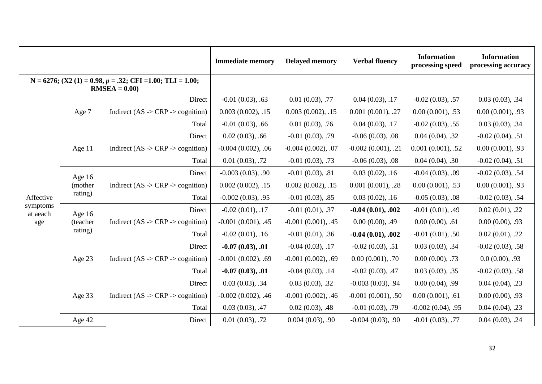|                                                                                 |          | <b>Immediate memory</b>                                 | <b>Delayed memory</b> | <b>Verbal fluency</b> | <b>Information</b><br>processing speed | <b>Information</b><br>processing accuracy |                     |
|---------------------------------------------------------------------------------|----------|---------------------------------------------------------|-----------------------|-----------------------|----------------------------------------|-------------------------------------------|---------------------|
| $N = 6276$ ; (X2 (1) = 0.98, p = .32; CFI = 1.00; TLI = 1.00;<br>$RMSEA = 0.00$ |          |                                                         |                       |                       |                                        |                                           |                     |
|                                                                                 |          | Direct                                                  | $-0.01(0.03)$ , .63   | 0.01(0.03), .77       | 0.04(0.03), .17                        | $-0.02(0.03), .57$                        | 0.03(0.03), .34     |
|                                                                                 | Age 7    | Indirect (AS -> CRP -> cognition)                       | $0.003(0.002)$ , .15  | $0.003(0.002)$ , .15  | 0.001(0.001), .27                      | 0.00(0.001), .53                          | 0.00(0.001), .93    |
|                                                                                 |          | Total                                                   | $-0.01(0.03)$ , .66   | 0.01(0.03), .76       | 0.04(0.03), .17                        | $-0.02(0.03)$ , .55                       | 0.03(0.03), .34     |
|                                                                                 |          | Direct                                                  | $0.02(0.03)$ , .66    | $-0.01(0.03), .79$    | $-0.06(0.03), .08$                     | 0.04(0.04), .32                           | $-0.02(0.04), .51$  |
|                                                                                 | Age 11   | Indirect (AS $\rightarrow$ CRP $\rightarrow$ cognition) | $-0.004(0.002)$ , 06  | $-0.004(0.002), .07$  | $-0.002(0.001), .21$                   | 0.001(0.001), .52                         | 0.00(0.001), .93    |
|                                                                                 |          | Total                                                   | 0.01(0.03), .72       | $-0.01(0.03)$ , .73   | $-0.06(0.03)$ , 0.08                   | 0.04(0.04), .30                           | $-0.02(0.04)$ , .51 |
|                                                                                 | Age 16   | Direct                                                  | $-0.003(0.03), .90$   | $-0.01(0.03), .81$    | 0.03(0.02), .16                        | $-0.04(0.03), .09$                        | $-0.02(0.03), .54$  |
|                                                                                 | (mother) | Indirect (AS -> CRP -> cognition)                       | $0.002(0.002)$ , .15  | $0.002(0.002)$ , .15  | $0.001(0.001)$ , .28                   | 0.00(0.001), .53                          | $0.00(0.001)$ , .93 |
| Affective<br>symptoms<br>at aeach<br>age                                        | rating)  | Total                                                   | $-0.002(0.03), .95$   | $-0.01(0.03), .85$    | $0.03(0.02)$ , .16                     | $-0.05(0.03), .08$                        | $-0.02(0.03), .54$  |
|                                                                                 | Age $16$ | Direct                                                  | $-0.02(0.01), .17$    | $-0.01(0.01), .37$    | $-0.04(0.01), .002$                    | $-0.01(0.01)$ , .49                       | 0.02(0.01), .22     |
|                                                                                 | (teacher | Indirect (AS $\rightarrow$ CRP $\rightarrow$ cognition) | $-0.001(0.001)$ , .45 | $-0.001(0.001)$ , .45 | $0.00(0.00)$ , .49                     | 0.00(0.00), .61                           | 0.00(0.00), .93     |
|                                                                                 | rating)  | Total                                                   | $-0.02(0.01)$ , .16   | $-0.01(0.01), .36$    | $-0.04(0.01), .002$                    | $-0.01(0.01), .50$                        | 0.02(0.01), .22     |
|                                                                                 |          | Direct                                                  | $-0.07(0.03), .01$    | $-0.04(0.03), .17$    | $-0.02(0.03), .51$                     | 0.03(0.03), .34                           | $-0.02(0.03)$ , .58 |
|                                                                                 | Age 23   | Indirect (AS -> CRP -> cognition)                       | $-0.001(0.002)$ , .69 | $-0.001(0.002)$ , .69 | $0.00(0.001)$ , .70                    | $0.00(0.00)$ , .73                        | 0.0(0.00), .93      |
|                                                                                 |          | Total                                                   | $-0.07(0.03), .01$    | $-0.04(0.03), .14$    | $-0.02(0.03)$ , .47                    | 0.03(0.03), .35                           | $-0.02(0.03), .58$  |
|                                                                                 |          | Direct                                                  | 0.03(0.03), .34       | 0.03(0.03), .32       | $-0.003(0.03), .94$                    | $0.00(0.04)$ , .99                        | $0.04(0.04)$ , .23  |
|                                                                                 | Age 33   | Indirect (AS -> CRP -> cognition)                       | $-0.002(0.002)$ , .46 | $-0.001(0.002)$ , .46 | $-0.001(0.001)$ , .50                  | $0.00(0.001)$ , .61                       | 0.00(0.00), .93     |
|                                                                                 |          | Total                                                   | 0.03(0.03), .47       | $0.02(0.03)$ , .48    | $-0.01(0.03), .79$                     | $-0.002(0.04)$ , .95                      | 0.04(0.04), .23     |
|                                                                                 | Age 42   | Direct                                                  | 0.01(0.03), .72       | 0.004(0.03), .90      | $-0.004(0.03), .90$                    | $-0.01(0.03), .77$                        | 0.04(0.03), .24     |